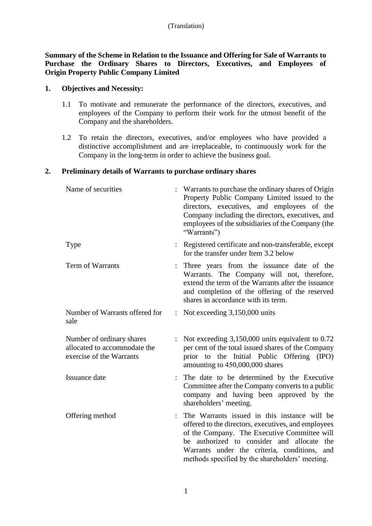**Summary of the Scheme in Relation to the Issuance and Offering for Sale of Warrants to Purchase the Ordinary Shares to Directors, Executives, and Employees of Origin Property Public Company Limited** 

### **1. Objectives and Necessity:**

- 1.1 To motivate and remunerate the performance of the directors, executives, and employees of the Company to perform their work for the utmost benefit of the Company and the shareholders.
- 1.2 To retain the directors, executives, and/or employees who have provided a distinctive accomplishment and are irreplaceable, to continuously work for the Company in the long-term in order to achieve the business goal.

### **2. Preliminary details of Warrants to purchase ordinary shares**

| Name of securities                                                                    | Warrants to purchase the ordinary shares of Origin<br>Property Public Company Limited issued to the<br>directors, executives, and employees of the<br>Company including the directors, executives, and<br>employees of the subsidiaries of the Company (the<br>"Warrants")                           |
|---------------------------------------------------------------------------------------|------------------------------------------------------------------------------------------------------------------------------------------------------------------------------------------------------------------------------------------------------------------------------------------------------|
| <b>Type</b>                                                                           | : Registered certificate and non-transferable, except<br>for the transfer under Item 3.2 below                                                                                                                                                                                                       |
| Term of Warrants                                                                      | Three years from the issuance date of the<br>Warrants. The Company will not, therefore,<br>extend the term of the Warrants after the issuance<br>and completion of the offering of the reserved<br>shares in accordance with its term.                                                               |
| Number of Warrants offered for<br>sale                                                | : Not exceeding $3,150,000$ units                                                                                                                                                                                                                                                                    |
| Number of ordinary shares<br>allocated to accommodate the<br>exercise of the Warrants | Not exceeding 3,150,000 units equivalent to 0.72<br>per cent of the total issued shares of the Company<br>prior to the Initial Public Offering (IPO)<br>amounting to 450,000,000 shares                                                                                                              |
| Issuance date                                                                         | The date to be determined by the Executive<br>Committee after the Company converts to a public<br>company and having been approved by the<br>shareholders' meeting.                                                                                                                                  |
| Offering method                                                                       | The Warrants issued in this instance will be<br>offered to the directors, executives, and employees<br>of the Company. The Executive Committee will<br>be authorized to consider and allocate the<br>Warrants under the criteria, conditions, and<br>methods specified by the shareholders' meeting. |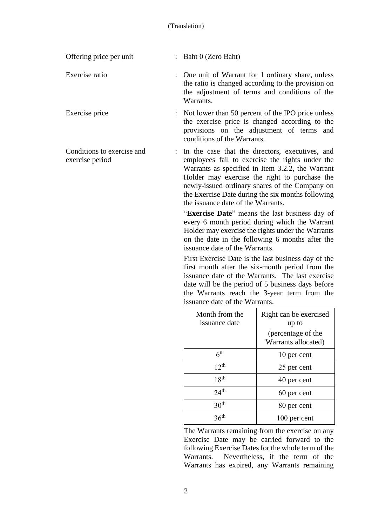| Offering price per unit                       | $:$ Baht 0 (Zero Baht)                                                                                                                                                                                                                                                                                                                                 |
|-----------------------------------------------|--------------------------------------------------------------------------------------------------------------------------------------------------------------------------------------------------------------------------------------------------------------------------------------------------------------------------------------------------------|
| Exercise ratio                                | : One unit of Warrant for 1 ordinary share, unless<br>the ratio is changed according to the provision on<br>the adjustment of terms and conditions of the<br>Warrants.                                                                                                                                                                                 |
| Exercise price                                | : Not lower than 50 percent of the IPO price unless<br>the exercise price is changed according to the<br>provisions on the adjustment of terms and<br>conditions of the Warrants.                                                                                                                                                                      |
| Conditions to exercise and<br>exercise period | : In the case that the directors, executives, and<br>employees fail to exercise the rights under the<br>Warrants as specified in Item 3.2.2, the Warrant<br>Holder may exercise the right to purchase the<br>newly-issued ordinary shares of the Company on<br>the Exercise Date during the six months following<br>the issuance date of the Warrants. |
|                                               | "Exercise Date" means the last business day of<br>every 6 month period during which the Warrant<br>Holder may exercise the rights under the Warrants<br>on the date in the following 6 months after the                                                                                                                                                |

First Exercise Date is the last business day of the first month after the six-month period from the issuance date of the Warrants. The last exercise date will be the period of 5 business days before the Warrants reach the 3-year term from the issuance date of the Warrants.

issuance date of the Warrants.

| Month from the<br>issuance date | Right can be exercised<br>up to           |
|---------------------------------|-------------------------------------------|
|                                 | (percentage of the<br>Warrants allocated) |
| 6 <sup>th</sup>                 | 10 per cent                               |
| 12 <sup>th</sup>                | 25 per cent                               |
| 18 <sup>th</sup>                | 40 per cent                               |
| 24 <sup>th</sup>                | 60 per cent                               |
| 30 <sup>th</sup>                | 80 per cent                               |
| 36 <sup>th</sup>                | 100 per cent                              |

The Warrants remaining from the exercise on any Exercise Date may be carried forward to the following Exercise Dates for the whole term of the Warrants. Nevertheless, if the term of the Warrants has expired, any Warrants remaining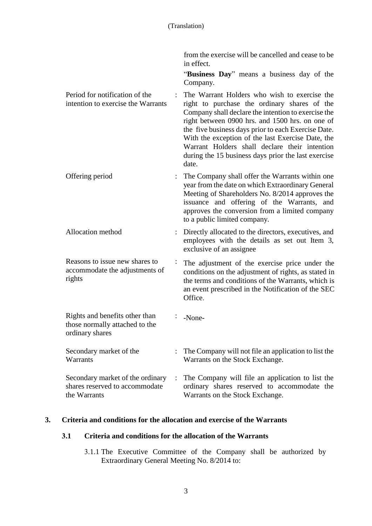from the exercise will be cancelled and cease to be in effect.

"**Business Day**" means a business day of the Company.

Period for notification of the intention to exercise the Warrants : The Warrant Holders who wish to exercise the right to purchase the ordinary shares of the Company shall declare the intention to exercise the right between 0900 hrs. and 1500 hrs. on one of the five business days prior to each Exercise Date. With the exception of the last Exercise Date, the Warrant Holders shall declare their intention during the 15 business days prior the last exercise date.

Offering period : The Company shall offer the Warrants within one year from the date on which Extraordinary General Meeting of Shareholders No. 8/2014 approves the issuance and offering of the Warrants, and approves the conversion from a limited company to a public limited company.

Allocation method : Directly allocated to the directors, executives, and employees with the details as set out Item 3, exclusive of an assignee

Reasons to issue new shares to accommodate the adjustments of rights : The adjustment of the exercise price under the conditions on the adjustment of rights, as stated in the terms and conditions of the Warrants, which is an event prescribed in the Notification of the SEC Office.

Rights and benefits other than those normally attached to the ordinary shares : -None-Secondary market of the **Warrants** : The Company will not file an application to list the Warrants on the Stock Exchange. Secondary market of the ordinary shares reserved to accommodate : The Company will file an application to list the ordinary shares reserved to accommodate the

# **3. Criteria and conditions for the allocation and exercise of the Warrants**

the Warrants

### **3.1 Criteria and conditions for the allocation of the Warrants**

3.1.1 The Executive Committee of the Company shall be authorized by Extraordinary General Meeting No. 8/2014 to:

Warrants on the Stock Exchange.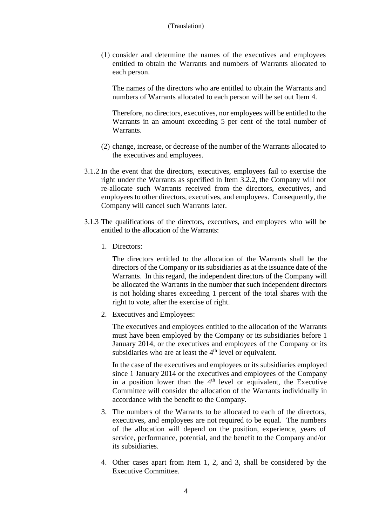(1) consider and determine the names of the executives and employees entitled to obtain the Warrants and numbers of Warrants allocated to each person.

The names of the directors who are entitled to obtain the Warrants and numbers of Warrants allocated to each person will be set out Item 4.

Therefore, no directors, executives, nor employees will be entitled to the Warrants in an amount exceeding 5 per cent of the total number of **Warrants** 

- (2) change, increase, or decrease of the number of the Warrants allocated to the executives and employees.
- 3.1.2 In the event that the directors, executives, employees fail to exercise the right under the Warrants as specified in Item 3.2.2, the Company will not re-allocate such Warrants received from the directors, executives, and employees to other directors, executives, and employees. Consequently, the Company will cancel such Warrants later.
- 3.1.3 The qualifications of the directors, executives, and employees who will be entitled to the allocation of the Warrants:
	- 1. Directors:

The directors entitled to the allocation of the Warrants shall be the directors of the Company or its subsidiaries as at the issuance date of the Warrants. In this regard, the independent directors of the Company will be allocated the Warrants in the number that such independent directors is not holding shares exceeding 1 percent of the total shares with the right to vote, after the exercise of right.

2. Executives and Employees:

The executives and employees entitled to the allocation of the Warrants must have been employed by the Company or its subsidiaries before 1 January 2014, or the executives and employees of the Company or its subsidiaries who are at least the  $4<sup>th</sup>$  level or equivalent.

In the case of the executives and employees or its subsidiaries employed since 1 January 2014 or the executives and employees of the Company in a position lower than the  $4<sup>th</sup>$  level or equivalent, the Executive Committee will consider the allocation of the Warrants individually in accordance with the benefit to the Company.

- 3. The numbers of the Warrants to be allocated to each of the directors, executives, and employees are not required to be equal. The numbers of the allocation will depend on the position, experience, years of service, performance, potential, and the benefit to the Company and/or its subsidiaries.
- 4. Other cases apart from Item 1, 2, and 3, shall be considered by the Executive Committee.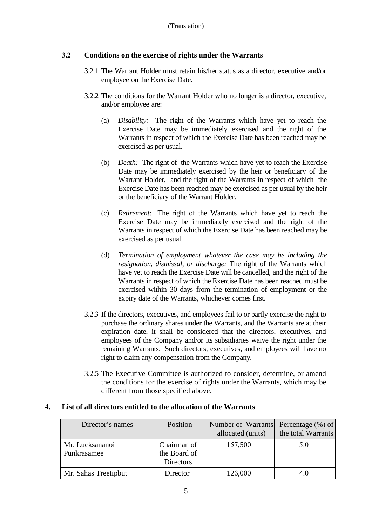# **3.2 Conditions on the exercise of rights under the Warrants**

- 3.2.1 The Warrant Holder must retain his/her status as a director, executive and/or employee on the Exercise Date.
- 3.2.2 The conditions for the Warrant Holder who no longer is a director, executive, and/or employee are:
	- (a) *Disability:* The right of the Warrants which have yet to reach the Exercise Date may be immediately exercised and the right of the Warrants in respect of which the Exercise Date has been reached may be exercised as per usual.
	- (b) *Death:* The right of the Warrants which have yet to reach the Exercise Date may be immediately exercised by the heir or beneficiary of the Warrant Holder, and the right of the Warrants in respect of which the Exercise Date has been reached may be exercised as per usual by the heir or the beneficiary of the Warrant Holder.
	- (c) *Retirement*: The right of the Warrants which have yet to reach the Exercise Date may be immediately exercised and the right of the Warrants in respect of which the Exercise Date has been reached may be exercised as per usual.
	- (d) *Termination of employment whatever the case may be including the resignation, dismissal, or discharge:* The right of the Warrants which have yet to reach the Exercise Date will be cancelled, and the right of the Warrants in respect of which the Exercise Date has been reached must be exercised within 30 days from the termination of employment or the expiry date of the Warrants, whichever comes first.
- 3.2.3 If the directors, executives, and employees fail to or partly exercise the right to purchase the ordinary shares under the Warrants, and the Warrants are at their expiration date, it shall be considered that the directors, executives, and employees of the Company and/or its subsidiaries waive the right under the remaining Warrants. Such directors, executives, and employees will have no right to claim any compensation from the Company.
- 3.2.5 The Executive Committee is authorized to consider, determine, or amend the conditions for the exercise of rights under the Warrants, which may be different from those specified above.

# **4. List of all directors entitled to the allocation of the Warrants**

| Director's names               | Position                                        | Number of Warrants Percentage (%) of<br>allocated (units) | the total Warrants |
|--------------------------------|-------------------------------------------------|-----------------------------------------------------------|--------------------|
| Mr. Lucksananoi<br>Punkrasamee | Chairman of<br>the Board of<br><b>Directors</b> | 157,500                                                   | 5.0                |
| Mr. Sahas Treetipbut           | Director                                        | 126,000                                                   | 4.0                |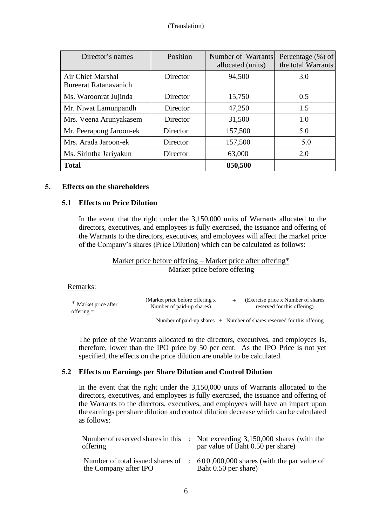### (Translation)

| Director's names                                  | Position        | Number of Warrants<br>allocated (units) | Percentage $(\% )$ of<br>the total Warrants |
|---------------------------------------------------|-----------------|-----------------------------------------|---------------------------------------------|
| Air Chief Marshal<br><b>Bureerat Ratanavanich</b> | Director        | 94,500                                  | 3.0                                         |
| Ms. Waroonrat Jujinda                             | Director        | 15,750                                  | 0.5                                         |
| Mr. Niwat Lamunpandh                              | Director        | 47,250                                  | 1.5                                         |
| Mrs. Veena Arunyakasem                            | Director        | 31,500                                  | 1.0                                         |
| Mr. Peerapong Jaroon-ek                           | Director        | 157,500                                 | 5.0                                         |
| Mrs. Arada Jaroon-ek                              | <b>Director</b> | 157,500                                 | 5.0                                         |
| Ms. Sirintha Jariyakun                            | Director        | 63,000                                  | 2.0                                         |
| <b>Total</b>                                      |                 | 850,500                                 |                                             |

#### **5. Effects on the shareholders**

### **5.1 Effects on Price Dilution**

In the event that the right under the 3,150,000 units of Warrants allocated to the directors, executives, and employees is fully exercised, the issuance and offering of the Warrants to the directors, executives, and employees will affect the market price of the Company's shares (Price Dilution) which can be calculated as follows:

#### Market price before offering – Market price after offering\* Market price before offering

#### Remarks:

| * Market price after | (Market price before offering x | (Exercise price x Number of shares) |
|----------------------|---------------------------------|-------------------------------------|
| offering $=$         | Number of paid-up shares)       | reserved for this offering)         |
|                      |                                 |                                     |

Number of paid-up shares  $+$  Number of shares reserved for this offering

The price of the Warrants allocated to the directors, executives, and employees is, therefore, lower than the IPO price by 50 per cent. As the IPO Price is not yet specified, the effects on the price dilution are unable to be calculated.

#### **5.2 Effects on Earnings per Share Dilution and Control Dilution**

In the event that the right under the 3,150,000 units of Warrants allocated to the directors, executives, and employees is fully exercised, the issuance and offering of the Warrants to the directors, executives, and employees will have an impact upon the earnings per share dilution and control dilution decrease which can be calculated as follows:

| Number of reserved shares in this<br>offering             | $\therefore$ Not exceeding 3,150,000 shares (with the<br>par value of Baht 0.50 per share) |
|-----------------------------------------------------------|--------------------------------------------------------------------------------------------|
| Number of total issued shares of<br>the Company after IPO | $\therefore$ 600,000,000 shares (with the par value of<br>Baht 0.50 per share)             |